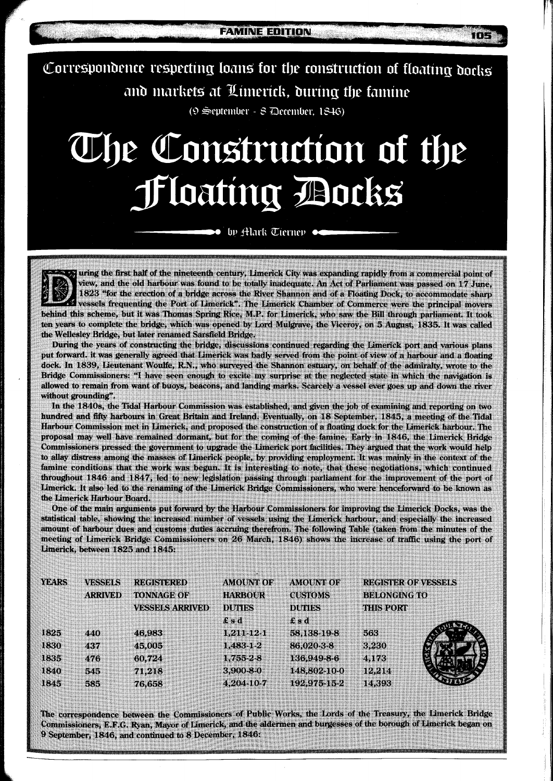$T(E)$ 

Correspondence respecting loans for the construction of floating docks and markets at Limerick, during the famine

(9 September - 8 December, 1846)

# The Construction of the **Floating Bocks**

by Alark Tierney

uring the first half of the nineteenth century, Limerick City was expanding rapidly from a commercial point of view, and the old harbour was found to be totally inadequate. An Act of Parliament was passed on 17 June, 1823 "for the erection of a bridge across the River Shannon and of a Floating Dock, to accommodate sharp vessels frequenting the Port of Limerick". The Limerick Chamber of Commerce were the principal movers behind this scheme, but it was Thomas Spring Rice, M.P. for Limerick, who saw the Bill through parliament. It took ten years to complete the bridge, which was opened by Lord Mulgrave, the Viceroy, on 5 August, 1835. It was called the Wellesley Bridge, but later renamed Sarsfield Bridge.

During the years of constructing the bridge, discussions continued regarding the Limerick port and various plans put forward, it was generally agreed that Limerick was badly served from the point of view of a harbour and a floating dock. In 1839, Lieutenant Woulfe, R.N., who surveyed the Shannon estuary, on behalf of the admiralty, wrote to the Bridge Commissioners: "I have seen enough to excite my surprise at the neglected state in which the navigation is allowed to remain from want of buoys, beacons, and landing marks. Scarcely a vessel ever goes up and down the river without grounding"

In the 1840s, the Tidal Harbour Commission was established, and given the job of examining and reporting on two hundred and fifty harbours in Great Britain and Ireland. Eventually, on 18 September, 1845, a meeting of the Tidal Harbour Commission met in Limerick, and proposed the construction of a floating dock for the Limerick harbour. The proposal may well have remained dormant, but for the coming of the famine. Early in 1846, the Limerick Bridge Commissioners pressed the government to upgrade the Limerick port facilities. They argued that the work would help to allay distress among the masses of Limerick people, by providing employment. It was mainly in the context of the famine conditions that the work was begun. It is interesting to note, that these negotiations, which continued throughout 1846 and 1847, led to new legislation passing through parliament for the improvement of the port of Limerick. It also led to the renaming of the Limerick Bridge Commissioners, who were henceforward to be known as the Limerick Harbour Board.

One of the main arguments put forward by the Harbour Commissioners for improving the Limerick Docks, was the statistical table, showing the increased number of vessels using the Limerick harbour, and especially the increased amount of harbour dues and customs duties accruing therefrom. The following Table (taken from the minutes of the meeting of Limerick Bridge Commissioners on 26 March, 1846) shows the increase of traffic using the port of Limerick, between 1825 and 1845:

| <b>YEARS</b> | <b>VESSELS</b> | <b>REGISTERED</b><br>TONNAGE OF<br><b>VESSELS ARRIVED</b> | <b>AMOUNT OF</b><br><b>HARBOUR</b><br><b>DUTIES</b><br>£sd | <b>AMOUNT OF</b><br><b>CUSTOMS</b><br><b>DUTIES</b><br>$f$ s d | <b>REGISTER OF VESSELS</b><br><b>BELONGING TO</b><br><b>THIS PORT</b> |  |
|--------------|----------------|-----------------------------------------------------------|------------------------------------------------------------|----------------------------------------------------------------|-----------------------------------------------------------------------|--|
|              | <b>ARRIVED</b> |                                                           |                                                            |                                                                |                                                                       |  |
|              |                |                                                           |                                                            |                                                                |                                                                       |  |
|              |                |                                                           |                                                            |                                                                |                                                                       |  |
| 1825         | 440            | 46,983                                                    | 1.211-12-1                                                 | 58,138-19-8                                                    | 563                                                                   |  |
| 1830         | 437            | 45,005                                                    | 1,483-1-2                                                  | 86,020-3-8                                                     | 3.230                                                                 |  |
| 1835         | 476            | 60,724                                                    | 1,755-2-8                                                  | 136,949-8-6                                                    | 4,173                                                                 |  |
| 1840         | 545            | 71,218                                                    | 3,900-8-0                                                  | 148,802-10-0                                                   | 12.214                                                                |  |
| 1845         | 585            | 76,658                                                    | 4,204-10-7                                                 | 192,975-15-2                                                   | 14,393                                                                |  |
|              |                |                                                           |                                                            |                                                                |                                                                       |  |

The correspondence between the Commissioners of Public Works, the Lords of the Treasury, the Limerick Bridge Commissioners, E.F.G. Ryan, Mayor of Limerick, and the aldermen and burgesses of the borough of Limerick began on 9 September, 1846, and continued to 8 December, 1846: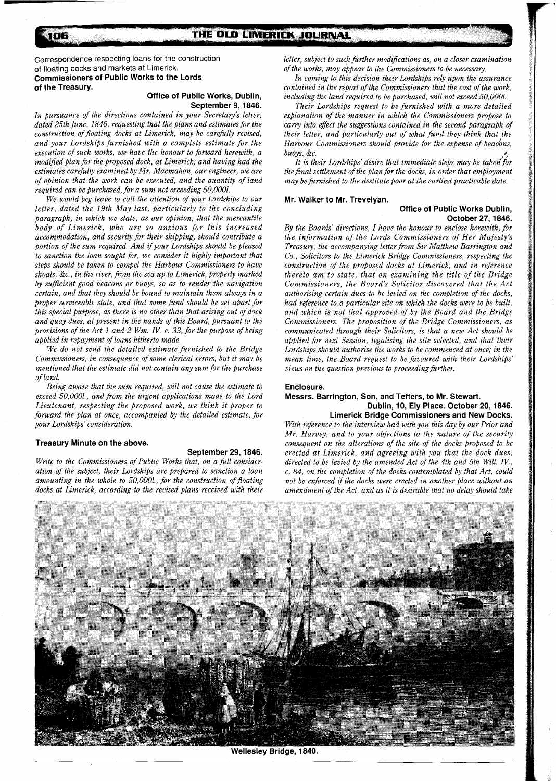Correspondence respecting loans for the construction of floating docks and markets at Limerick. **Commissioners of Public Works to the Lords of the Treasury.** 

# **Office of Public Works, Dublin, September 9,1846.**

*In pursuance of the directions contained in your Secretary's letter, dated 25th June, 1846, requesting that the plans and estimates for the construction of floating docks at Limerick, may be carefully revised, and your Lordships furnished with a complete estimate for the execution of such works, we have the honour to forward herewith, a modified plan for the proposed dock, at Limerick; and having had the estimates carefully examined by Mr. Macmahon, our engineer, we are of opinion that the work can be executed, and the quantity of land required can be purchased, for a sum not exceeding 50,0001.* 

We would beg leave to call the attention of your Lordships to our *letter, dated the 19th May last, particularly to the concluding paragraph, in which we state, as our opinion, that the mercantile body of Limerick, who are so anxious for this increased accommodation, and security for their shipping, should contribute a portion of the sum required. And if your Lordships should be pleased to sanction the loan sought for, we consider it highly important that steps should be taken to compel the Harbour Commissioners to have shoals, &C., in the river, from the sea up to Limerick, properly marked by suficient good beacons or buoys, so as to render the navigation certain, and that they should be bound to maintain them always in a proper serviceable state, and that some fund should be set apart for this special purpose, as there is no other than that arising out of dock and quay dues, at present in the hands of this Board, pursuant to the provisions of the Act l and 2 Wm. IK c. 33, for the purpose of being applied in repayment of loans hitherto made.* 

*We do not send the detailed estimate furnished to the Bridge Commissioners, in consequence of some clerical errors, but it may be mentioned that the estimate did not contain any sum for the purchase of land.* 

*Being aware that the sum required, will not cause the estimate to exceed 50,0001., and from the urgent applications made to the Lord Lieutenant, respecting the proposed work, we think it proper to forward the plan at once, accompanied by the detailed estimate, for your Lordships' consideration.* 

#### **Treasury Minute on the above.**

#### **September 29,1846.**

*Write to the Commissioners of Public Works that, on a full consideration of the subject, their Lordships are prepared to sanction a loan*  amounting in the whole to 50,000l., for the construction of floating *docks at Limerick, according to the revised plans received with their*  letter, subject to such further modifications as, on a closer examination *of the works, may appear to the Commissioners to be necessary.* 

*In coming to this decision their Lordships rely upon the assurance contained in the report of the Commissioners that the cost of the work, including the land required to be purchased, will not exceed 50,0001.* 

*Their Lordships request to be furnished with a more detailed explanation of the manner in which the Commissioners propose to carry into effect the suggestions contained in the second paragraph of their letter, and particularly out of what fund they think that the Harbour Commissioners should provide for the expense of beacons,*  $buoys, &c.$ 

It is their Lordships' desire that immediate steps may be taken for *the final settlement of the plan for the docks, in order that employment may be furnished to the destitute poor at the earliest practicable date.* 

#### **Mr. Walker to Mr. Trevelyan.**

**Office of Public Works Dublin, October 27,1846.** 

*By the Boards' directions, I have the honour to enclose herewith, for the information of the Lords Commissioners of Her Majesty's Treasu ry, the accompanying letter from Sir Matthew Barrington and Co., Solicitors to the Limerick Bridge Commissioners, respecting the construction of the proposed docks at Limerick, and in reference thereto am to state, that on examining the title of the Bridge Commissioners, the Board's Solicitor discovered that the Act authorising certain dues to be levied on the completion of the docks, had reference to a particular site on which the docks were to be built, and which is not that approved of by the Board and the Bridge Commissioners. The proposition of the Bridge Commissioners, as communicated through their Solicitors, is that a new Act should be applied for next Session, legalising the site selected, and that their Lordships should authorise the works to be commenced at once; in the mean time, the Board request to be favoured with their Lordships' views on the question previous to proceeding further.* 

#### **Enclosure.**

# **Messrs. Barrington, Son, and Teffers, to Mr. Stewart. Dublin, 10, Ely Place. October 20,1846. Limerick Bridge Commissioners and New Docks.**

*With reference to the interview had with you this day by our Prior and Mr. Harvey, and to your objections to the nature of the security consequent on the alterations of the site of the docks proposed to be erected at Limerick, and agreeing with you that the dock dues, directed to be levied by the amended Act of the 4th and 5th Will. IK, c, 84, on the completion of the docks contemplated by that Act, could not be enforced if the docks were erected in another place without an amendment of the Act, and as it is desirable that no delay should take* 



**Wellesley Bridge, 1840.** 

106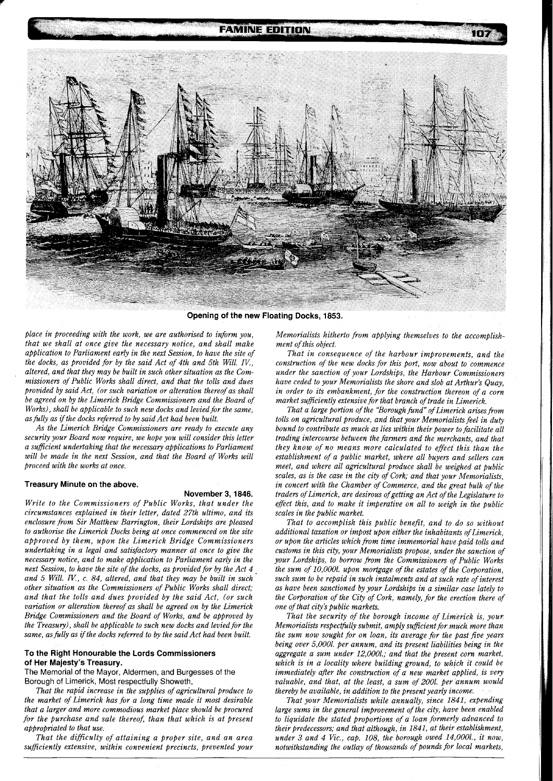# **FAMINE EDITION**



Opening of the new Floating Docks, 1853.

*place in proceeding with the work, we are authorised to inform you, that we shall at once give the necessary notice, and shall make application to Parliament early in the next Session, to have the site of the docks, as provided for by the said Act of 4th and 5th Will. IV., altered, and that they may be built in such other situation as the Commissioners of Public Works shall direct, and that the tolls and dues provided by said Act, (or such variation or alteration thereof as shall be agreed on by the Limerick Bridge Commissioners and the Board of Works*), shall be applicable to such new docks and levied for the same, as fully as if the docks referred to by said Act had been built.

*As the Limerick Bridge Commissioners are ready to execute any security your Board now require, we hope you will consider this letter a sufficient undertaking that the necessary applications to Parliament will be made in the next Session, and that the Board of Works will proceed with the works at once.* 

#### **Treasury Minute on the above.**

# **November 3,1846.**

*Write to the Commissioners of Public Works, that under the circumstances explained in their letter, dated 27th ultimo, and its enclosure from Sir Matthew Barrington, their Lordships are pleased to authorise the Limerick Docks being at once commenced on the site approved by them, upon the Limerick Bridge Commissioners undertaking in a legal and satisfactory manner at once to give the necessary notice, and to make application to Parliament early in the next Session, to have the site of the docks, as provided for by the Act 4 and 5 Will. IK, c. 84, altered, and that they may be built in such other situation as the Commissioners of Public Works shall direct; and that the tolls and dues provided by the said Act, (or such variation or alteration thereof as shall be agreed on by the Limerick Bridge Commissioners and the Board of Works, and be approved by the Treasury), shall be applicable to such new docks and levied for the same, as fully as if the docks referred to by the said Act had been built.* 

# **To the Right Honourable the Lords Commissioners of Her Majesty's Treasury.**

The Memorial of the Mayor, Aldermen, and Burgesses of the Borough of Limerick, Most respectfully Showeth,

*That the rapid increase in the supplies of agricultural produce to the market of Limerick has for a long time made it most desirable that a larger and more commodious market place should be procured for the purchase and sale thereof, than that which is at present appropriated to that use.* 

*That the difficulty of attaining a proper site, and an area suficiently extensive, within convenient precincts, prevented your*  *Memorialists hitherto from applying themselves to the accomplishment of this object.* 

*That in consequence of the harbour improvements, and the construction of the new docks for this port, now about to commence under the sanction of your Lordships, the Harbour Commissioners have ceded to your Memorialists the shore and slob at Arthur's Quay, in order to its embankment, for the construction thereon of a corn market sufficiently extensive for that branch of trade in Limerick.* 

*That a large portion of the 'Borough fund of Limerick arises fiom tolls on agricultural produce, and that your Memorialists feel in duty bound to contribute as much as lies within their power to facilitate all trading intercourse between the farmers and the merchants, and that they know of no means more calculated to ejjfect this than the establishment of a public market, where all buyers and sellers can meet, and where all agricultural produce shall be weighed at public scales, as is the case in the city of Cork; and that your Memorialists, in concert with the Chamber of Commerce, and the great bulk of the traders of Limerick, are desirous ofgetting an Act of the Legislature to effect this, and to make it imperative on all to weigh in the public scales in the public market.* 

*That to accomplish this public benefit, and to do so without additional taxation or impost upon either the inhabitants of Limerick, or upon the articles which fiom time immemorial have paid tolls and customs in this city, your Memorialists propose, under the sanction of your Lordships, to borrow from the Commissioners of Public Works the sum of 10,000l. upon mortgage of the estates of the Corporation, such sum to be repaid in such instalments and at such rate of interest as have been sanctioned by your Lordships in a similar case lately to the Corporation of the City of Cork, namely, for the erection there of one of that city's public markets.* 

*That the security of the borough income of Limerick is, your Memorialists respectfully submit, amply sufficient for much more than the sum now sought for on loan, its average for the past five years being over 5,0001. per annum, and its present liabilities being in the aggregate a sum under 12,0001.; and that the present corn market, which is in a locality where building ground, to which it could be immediately after the construction of a new market applied, is very valuable, and that, at the least, a sum of 2001. per annum would thereby be available, in addition to the present yearly income.* 

*That your Memorialists while annually, since 1841, expending large sums in the general improvement of the city, have been enabled to liquidate the stated proportions of a loan formerly advanced to their predecessors; and that although, in 1841, at their establishment,*  under 3 and 4 Vic., cap. 108, the borough owed 14,000l., it now, *notwithstanding the outlay of thousands of Pounds for local markets,*